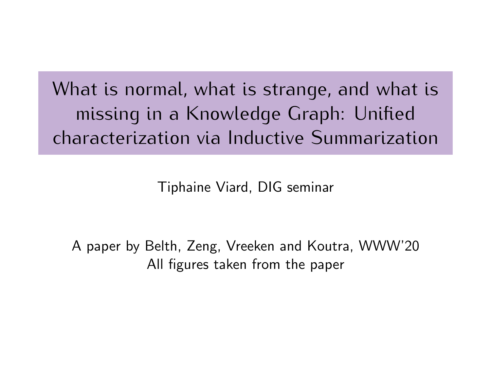What is normal, what is strange, and what is missing in a Knowledge Graph: Unified characterization via Inductive Summarization

Tiphaine Viard, DIG seminar

A paper by Belth, Zeng, Vreeken and Koutra, WWW'20 All figures taken from the paper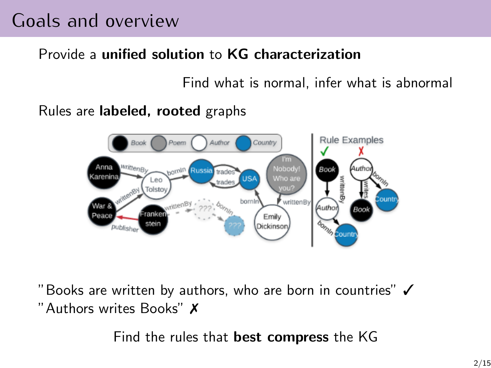### Goals and overview

#### Provide a unified solution to KG characterization

Find what is normal, infer what is abnormal

Rules are labeled, rooted graphs



"Books are written by authors, who are born in countries" ✓ "Authors writes Books" ✗

Find the rules that best compress the KG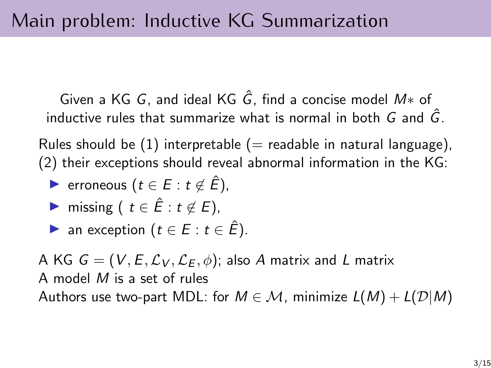Given a KG G, and ideal KG  $\hat{G}$ , find a concise model  $M*$  of inductive rules that summarize what is normal in both  $G$  and  $\hat{G}$ .

Rules should be  $(1)$  interpretable  $(=$  readable in natural language), (2) their exceptions should reveal abnormal information in the KG:

► erroneous  $(t \in E : t \notin \hat{E})$ ,

$$
\blacktriangleright \ \text{missing} \ (t \in \hat{E}: t \notin E),
$$

$$
\triangleright \text{ an exception } (t \in E : t \in \hat{E}).
$$

A KG  $G = (V, E, \mathcal{L}_V, \mathcal{L}_E, \phi)$ ; also A matrix and L matrix A model M is a set of rules Authors use two-part MDL: for  $M \in \mathcal{M}$ , minimize  $L(M) + L(\mathcal{D}|M)$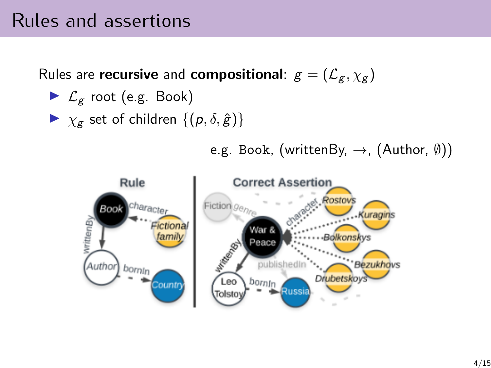### Rules and assertions

Rules are recursive and compositional:  $g = (\mathcal{L}_g, \chi_g)$ 

- $\blacktriangleright$   $\mathcal{L}_{g}$  root (e.g. Book)
- $\triangleright \ \chi_g$  set of children  $\{ (p, \delta, \hat{g}) \}$

e.g. Book, (writtenBy,  $\rightarrow$ , (Author,  $(\emptyset)$ )

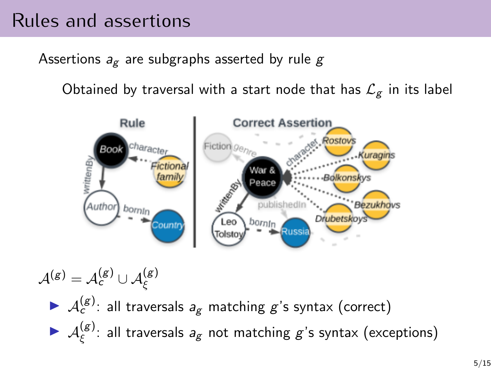### Rules and assertions

Assertions  $a_{\epsilon}$  are subgraphs asserted by rule g

Obtained by traversal with a start node that has  $\mathcal{L}_{g}$  in its label



 $\mathcal{A}^{(\mathcal{g})}=\mathcal{A}^{(\mathcal{g})}_{\mathsf{c}}\cup\mathcal{A}^{(\mathcal{g})}_{\xi}$  $\blacktriangleright$   $\mathcal{A}_c^{(g)}$ : all traversals  $a_g$  matching  $g$ 's syntax (correct)  $\blacktriangleright$   $\mathcal{A}^{(g)}_{\epsilon}$  $\zeta^{(g)}$ : all traversals  $a_g$  not matching  $g$ 's syntax (exceptions)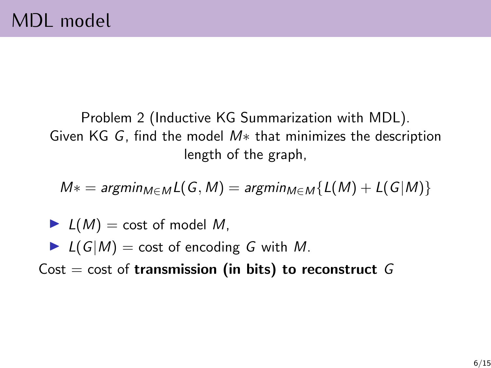Problem 2 (Inductive KG Summarization with MDL). Given KG G, find the model M∗ that minimizes the description length of the graph,

 $M* = \text{argmin}_{M \in M} L(G, M) = \text{argmin}_{M \in M} \{L(M) + L(G|M)\}$ 

- $L(M) = \text{cost of model } M$ ,
- If  $L(G|M) = \text{cost of encoding } G$  with M.

Cost = cost of transmission (in bits) to reconstruct  $G$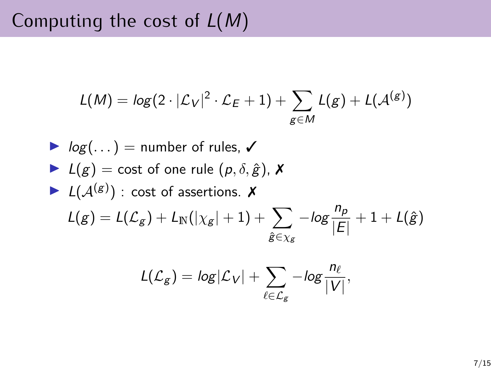## Computing the cost of  $L(M)$

$$
L(M) = log(2 \cdot |\mathcal{L}_V|^2 \cdot \mathcal{L}_E + 1) + \sum_{g \in M} L(g) + L(\mathcal{A}^{(g)})
$$

► 
$$
log(...)
$$
 = number of rules,  $\checkmark$   
\n▶  $L(g)$  = cost of one rule  $(p, \delta, \hat{g})$ ,  $\checkmark$   
\n▶  $L(\mathcal{A}^{(g)})$ : cost of assertions.  $\checkmark$   
\n $L(g) = L(\mathcal{L}_g) + L_N(|\chi_g| + 1) + \sum_{\hat{g} \in \chi_g} -log \frac{n_p}{|E|} + 1 + L(\hat{g})$ 

$$
L(\mathcal{L}_g) = log|\mathcal{L}_V| + \sum_{\ell \in \mathcal{L}_g} -log\frac{n_\ell}{|V|},
$$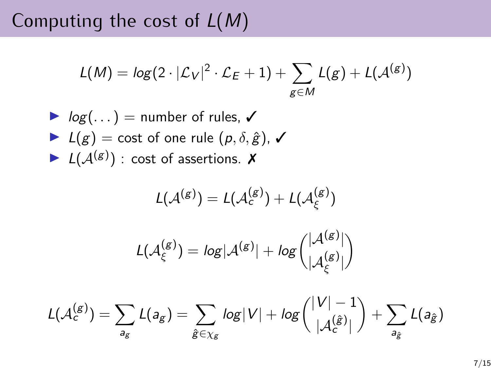Computing the cost of  $L(M)$ 

$$
L(M) = log(2 \cdot |\mathcal{L}_V|^2 \cdot \mathcal{L}_E + 1) + \sum_{g \in M} L(g) + L(\mathcal{A}^{(g)})
$$

\n- $$
log(...)
$$
 = number of rules,  $\checkmark$
\n- $L(g) = \text{cost of one rule } (p, \delta, \hat{g}), \checkmark$
\n- $L(A^{(g)})$ : cost of assertions.  $\checkmark$
\n

$$
\begin{array}{c} L(\mathcal{A}^{(g)})=L(\mathcal{A}^{(g)}_{\varepsilon})+L(\mathcal{A}^{(g)}_{\xi})\\\\L(\mathcal{A}^{(g)}_{\xi})=log|\mathcal{A}^{(g)}|+log\binom{|\mathcal{A}^{(g)}|}{|\mathcal{A}^{(g)}_{\xi}|}\end{array}
$$

$$
L(\mathcal{A}_{c}^{(g)}) = \sum_{a_{g}} L(a_{g}) = \sum_{\hat{g} \in \chi_{g}} log|V| + log\binom{|V| - 1}{|\mathcal{A}_{c}^{(\hat{g})}|} + \sum_{a_{\hat{g}}} L(a_{\hat{g}})
$$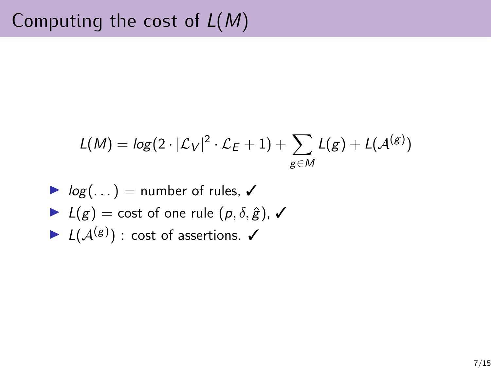$$
L(M) = log(2 \cdot |\mathcal{L}_V|^2 \cdot \mathcal{L}_E + 1) + \sum_{g \in M} L(g) + L(\mathcal{A}^{(g)})
$$

\n- $$
log(...)
$$
 = number of rules,  $\checkmark$
\n- $L(g) = \text{cost of one rule } (p, \delta, \hat{g}), \checkmark$
\n- $L(\mathcal{A}^{(g)})$ : cost of assertions.  $\checkmark$
\n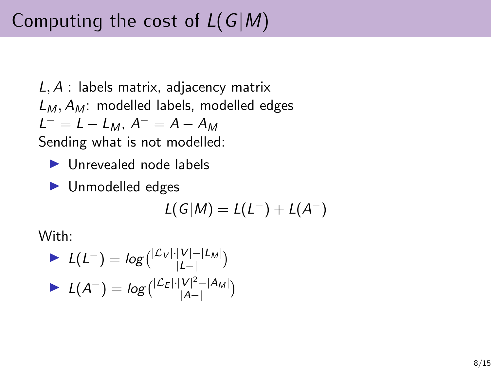# Computing the cost of  $L(G|M)$

 $L, A$ : labels matrix, adjacency matrix  $L_M$ ,  $A_M$ : modelled labels, modelled edges  $L^{-} = L - L_{M}$ ,  $A^{-} = A - A_{M}$ 

Sending what is not modelled:

- $\blacktriangleright$  Unrevealed node labels
- $\blacktriangleright$  Unmodelled edges

$$
L(G|M) = L(L^-) + L(A^-)
$$

With:

$$
L(L^{-}) = log\left(\frac{|\mathcal{L}_V|\cdot|V| - |\mathcal{L}_M|}{|\mathcal{L}|}\right)
$$

$$
L(A^{-}) = log\left(\frac{|\mathcal{L}_E|\cdot|V|^2 - |\mathcal{A}_M|}{|\mathcal{A}|-|}\right)
$$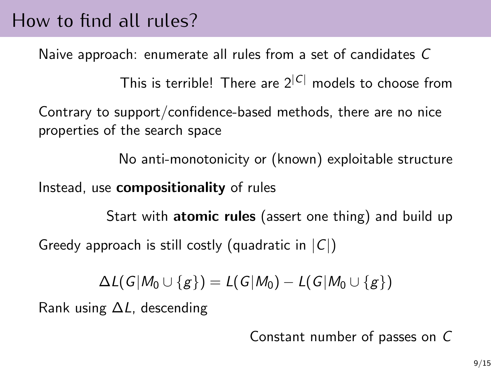### How to find all rules?

Naive approach: enumerate all rules from a set of candidates C

This is terrible! There are  $2^{|C|}$  models to choose from

Contrary to support/confidence-based methods, there are no nice properties of the search space

No anti-monotonicity or (known) exploitable structure

Instead, use compositionality of rules

Start with **atomic rules** (assert one thing) and build up Greedy approach is still costly (quadratic in  $|C|$ )

$$
\Delta L(G|M_0\cup\{g\})=L(G|M_0)-L(G|M_0\cup\{g\})
$$

Rank using ∆L, descending

Constant number of passes on C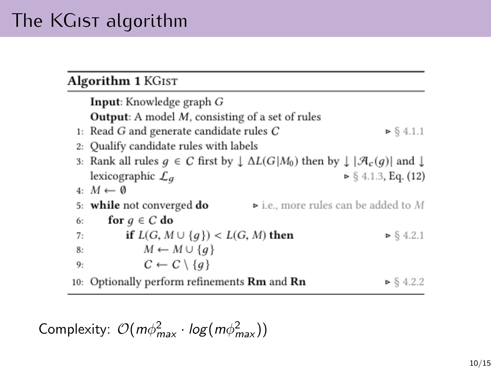## The KGIST algorithm

#### Algorithm 1 KGIST

|    | Input: Knowledge graph G                                                                                                   |
|----|----------------------------------------------------------------------------------------------------------------------------|
|    | <b>Output</b> : A model $M$ , consisting of a set of rules                                                                 |
|    | 1: Read G and generate candidate rules $C$<br>$\triangleright$ § 4.1.1                                                     |
|    | 2: Qualify candidate rules with labels                                                                                     |
|    | 3: Rank all rules $g \in C$ first by $\downarrow \Delta L(G M_0)$ then by $\downarrow  \mathcal{A}_c(g) $ and $\downarrow$ |
|    | $\triangleright$ § 4.1.3, Eq. (12)<br>lexicographic $\mathcal{L}_a$                                                        |
|    | 4: $M \leftarrow \emptyset$                                                                                                |
|    | $\triangleright$ i.e., more rules can be added to M<br>5: while not converged do                                           |
| 6: | for $q \in C$ do                                                                                                           |
| 7: | if $L(G, M \cup \{q\}) < L(G, M)$ then<br>$\triangleright$ § 4.2.1                                                         |
| 8: | $M \leftarrow M \cup \{q\}$                                                                                                |
| 9: | $C \leftarrow C \setminus \{q\}$                                                                                           |
|    | 0: Optionally perform refinements <b>Rm</b> and <b>Rn</b><br>$\triangleright$ § 4.2.2                                      |

Complexity:  $\mathcal{O}(m\phi_{\textit{max}}^2 \cdot \log(m\phi_{\textit{max}}^2))$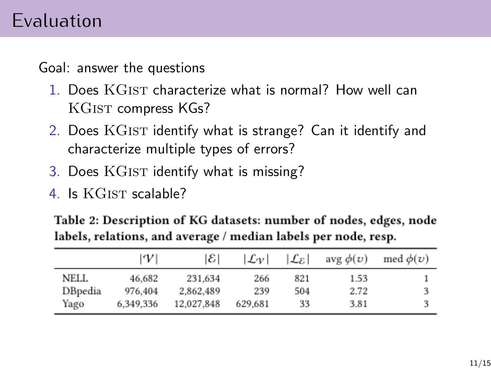### Evaluation

Goal: answer the questions

- 1. Does KGist characterize what is normal? How well can KGIST compress KGs?
- 2. Does KGIST identify what is strange? Can it identify and characterize multiple types of errors?
- 3. Does KGIST identify what is missing?
- 4. Is KGIST scalable?

Table 2: Description of KG datasets: number of nodes, edges, node labels, relations, and average / median labels per node, resp.

|         | $\mathcal{W}'$ | $ \mathcal{E} $ | Lv      | Le I | avg $\phi(\nu)$ | med $\phi(v)$ |
|---------|----------------|-----------------|---------|------|-----------------|---------------|
| NELL    | 46.682         | 231.634         | 266     | 821  | 1.53            |               |
| DBpedia | 976,404        | 2.862.489       | 239     | 504  | 2.72            |               |
| Yago    | 6.349.336      | 12.027.848      | 629,681 | 33   | 3.81            |               |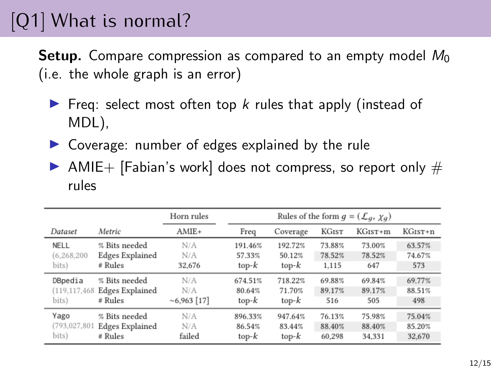# [Q1] What is normal?

**Setup.** Compare compression as compared to an empty model  $M_0$ (i.e. the whole graph is an error)

- Freq: select most often top  $k$  rules that apply (instead of MDL),
- $\triangleright$  Coverage: number of edges explained by the rule
- $\triangleright$  AMIE+ [Fabian's work] does not compress, so report only  $\#$ rules

|                 |                        | Horn rules | Rules of the form $g = (\mathcal{L}_q, \chi_q)$ |          |              |           |         |
|-----------------|------------------------|------------|-------------------------------------------------|----------|--------------|-----------|---------|
| Dataset         | Metric                 | AMIE+      | Freq                                            | Coverage | <b>KGIST</b> | $KGIST+m$ | KGIST+n |
| NELL            | % Bits needed          | N/A        | 191.46%                                         | 192.72%  | 73.88%       | 73.00%    | 63.57%  |
| (6.268.200)     | Edges Explained        | N/A        | 57.33%                                          | 50.12%   | 78.52%       | 78.52%    | 74.67%  |
| bits)           | # Rules                | 32,676     | $top-k$                                         | $top-k$  | 1,115        | 647       | 573     |
| DBpedia         | % Bits needed          | N/A        | 674.51%                                         | 718.22%  | 69.88%       | 69.84%    | 69.77%  |
| (119, 117, 468) | <b>Edges Explained</b> | N/A        | 80.64%                                          | 71.70%   | 89.17%       | 89.17%    | 88.51%  |
| bits)           | # Rules                | $~17$ ]    | $top-k$                                         | $top-k$  | 516          | 505       | 498     |
| Yago            | % Bits needed          | N/A        | 896.33%                                         | 947.64%  | 76.13%       | 75.98%    | 75.04%  |
| (793,027,801    | <b>Edges Explained</b> | N/A        | 86.54%                                          | 83.44%   | 88.40%       | 88.40%    | 85.20%  |
| bits)           | # Rules                | failed     | $top-k$                                         | $top-k$  | 60.298       | 34.331    | 32,670  |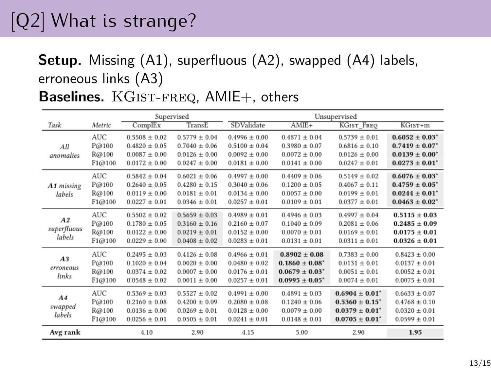# [Q2] What is strange?

### Setup. Missing (A1), superfluous (A2), swapped (A4) labels, erroneous links (A3)

Baselines. KGIST-FREQ, AMIE+, others

|                                     | Supervised                             |                                                                                  |                                                                                  | Unsupervised                                                                     |                                                                                      |                                                                                          |                                                                                                                           |
|-------------------------------------|----------------------------------------|----------------------------------------------------------------------------------|----------------------------------------------------------------------------------|----------------------------------------------------------------------------------|--------------------------------------------------------------------------------------|------------------------------------------------------------------------------------------|---------------------------------------------------------------------------------------------------------------------------|
| Task                                | Metric                                 | ComplEx                                                                          | TransE                                                                           | SDValidate                                                                       | $AMIE+$                                                                              | <b>KGIST FREO</b>                                                                        | $\overline{\text{KGisr+m}}$                                                                                               |
| All<br>anomalies                    | <b>AUC</b><br>P@100<br>R@100<br>F1@100 | $0.5508 \pm 0.02$<br>$0.4820 \pm 0.05$<br>$0.0087 \pm 0.00$<br>$0.0172 \pm 0.00$ | $0.5779 \pm 0.04$<br>$0.7040 \pm 0.06$<br>$0.0126 \pm 0.00$<br>$0.0247 \pm 0.00$ | $0.4996 \pm 0.00$<br>$0.5100 \pm 0.04$<br>$0.0092 \pm 0.00$<br>$0.0181 \pm 0.00$ | $0.4871 \pm 0.04$<br>$0.3980 \pm 0.07$<br>$0.0072 \pm 0.00$<br>$0.0141 \pm 0.00$     | $0.5739 \pm 0.01$<br>$0.6816 \pm 0.10$<br>$0.0126 \pm 0.00$<br>$0.0247 \pm 0.01$         | $0.6052 \pm 0.03$ <sup>*</sup><br>$0.7419 \pm 0.07$ <sup>*</sup><br>$0.0139 \pm 0.00^*$<br>$0.0273 \pm 0.01$ <sup>*</sup> |
| A1 missing<br>labels                | <b>AUC</b><br>P@100<br>R@100<br>F1@100 | $0.5842 \pm 0.04$<br>$0.2640 \pm 0.05$<br>$0.0119 \pm 0.00$<br>$0.0227 \pm 0.01$ | $0.6021 \pm 0.06$<br>$0.4280 \pm 0.15$<br>$0.0181 \pm 0.01$<br>$0.0346 \pm 0.01$ | $0.4997 \pm 0.00$<br>$0.3040 \pm 0.06$<br>$0.0134 \pm 0.00$<br>$0.0257 \pm 0.01$ | $0.4409 \pm 0.06$<br>$0.1200 \pm 0.05$<br>$0.0057 \pm 0.00$<br>$0.0109 \pm 0.01$     | $0.5149 \pm 0.02$<br>$0.4067 \pm 0.11$<br>$0.0199 \pm 0.01$<br>$0.0377 \pm 0.01$         | $0.6076 \pm 0.03^*$<br>$0.4759 \pm 0.05$ <sup>*</sup><br>$0.0244 \pm 0.01$ <sup>*</sup><br>$0.0463 \pm 0.02^*$            |
| A2<br>superfluous<br>labels         | AUC.<br>P@100<br>R@100<br>F1@100       | $0.5502 \pm 0.02$<br>$0.1780 \pm 0.05$<br>$0.0122 \pm 0.00$<br>$0.0229 \pm 0.00$ | $0.5659 \pm 0.03$<br>$0.3160 \pm 0.16$<br>$0.0219 \pm 0.01$<br>$0.0408 \pm 0.02$ | $0.4989 \pm 0.01$<br>$0.2160 \pm 0.07$<br>$0.0152 \pm 0.00$<br>$0.0283 \pm 0.01$ | $0.4946 \pm 0.03$<br>$0.1040 \pm 0.09$<br>$0.0070 \pm 0.01$<br>$0.0131 \pm 0.01$     | $0.4997 \pm 0.04$<br>$0.2081 \pm 0.06$<br>$0.0169 \pm 0.01$<br>$0.0311 \pm 0.01$         | $0.5115 \pm 0.03$<br>$0.2485 \pm 0.09$<br>$0.0175 \pm 0.01$<br>$0.0326 \pm 0.01$                                          |
| A3<br>erroneous<br>links            | AUC.<br>P@100<br>R@100<br>F1@100       | $0.2495 + 0.03$<br>$0.1020 \pm 0.04$<br>$0.0374 \pm 0.02$<br>$0.0548 \pm 0.02$   | $0.4126 \pm 0.08$<br>$0.0020 \pm 0.00$<br>$0.0007 \pm 0.00$<br>$0.0011 \pm 0.00$ | $0.4966 \pm 0.01$<br>$0.0480 \pm 0.02$<br>$0.0176 \pm 0.01$<br>$0.0257 \pm 0.01$ | $0.8902 + 0.08$<br>$0.1860 \pm 0.08^*$<br>$0.0679 \pm 0.03^*$<br>$0.0995 \pm 0.05^*$ | $0.7383 + 0.00$<br>$0.0131 \pm 0.01$<br>$0.0051 \pm 0.01$<br>$0.0074 \pm 0.01$           | $0.8423 + 0.00$<br>$0.0137 \pm 0.01$<br>$0.0052 \pm 0.01$<br>$0.0075 \pm 0.01$                                            |
| A <sub>4</sub><br>swapped<br>labels | <b>AUC</b><br>P@100<br>R@100<br>F1@100 | $0.5369 \pm 0.03$<br>$0.2160 \pm 0.08$<br>$0.0136 \pm 0.00$<br>$0.0256 \pm 0.01$ | $0.5527 \pm 0.02$<br>$0.4200 \pm 0.09$<br>$0.0269 \pm 0.01$<br>$0.0505 \pm 0.01$ | $0.4991 \pm 0.00$<br>$0.2080 \pm 0.08$<br>$0.0128 \pm 0.00$<br>$0.0241 \pm 0.01$ | $0.4891 \pm 0.03$<br>$0.1240 \pm 0.06$<br>$0.0079 \pm 0.00$<br>$0.0148 \pm 0.01$     | $0.6904 \pm 0.01^*$<br>$0.5360 \pm 0.15^*$<br>$0.0379 \pm 0.01^*$<br>$0.0705 \pm 0.01^*$ | $0.6633 \pm 0.07$<br>$0.4768 \pm 0.10$<br>$0.0320 \pm 0.01$<br>$0.0599 \pm 0.01$                                          |
| Avg rank                            |                                        | 4.10                                                                             | 2.90                                                                             | 4.15                                                                             | 5.00                                                                                 | 2.90                                                                                     | 1.95                                                                                                                      |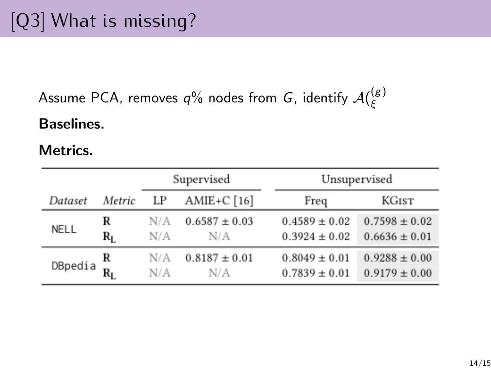Assume PCA, removes  $q\%$  nodes from  $G$ , identify  $\mathcal{A}(\mathcal{E})$ ξ

#### Baselines.

#### Metrics.

|         |        |     | Supervised        |                   | Unsupervised      |  |  |
|---------|--------|-----|-------------------|-------------------|-------------------|--|--|
| Dataset | Metric | LP  | AMIE+C $[16]$     | Freq              | KGIST             |  |  |
| NELL    | R      | N/A | $0.6587 \pm 0.03$ | $0.4589 \pm 0.02$ | $0.7598 \pm 0.02$ |  |  |
|         | $R_I$  | N/A | N/A               | $0.3924 \pm 0.02$ | $0.6636 \pm 0.01$ |  |  |
| DBpedia | R      | N/A | $0.8187 \pm 0.01$ | $0.8049 \pm 0.01$ | $0.9288 \pm 0.00$ |  |  |
|         | $R_L$  | N/A | N/A               | $0.7839 \pm 0.01$ | $0.9179 \pm 0.00$ |  |  |